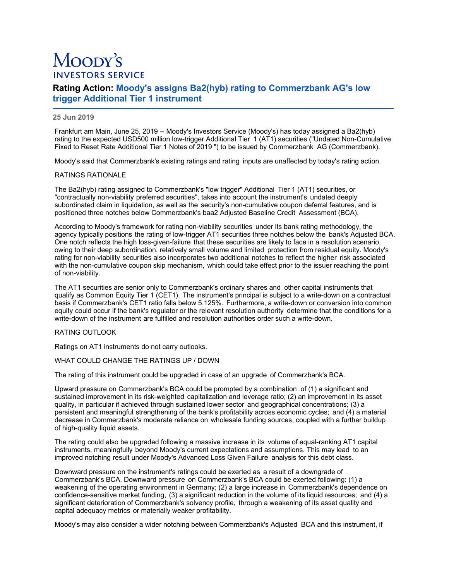# Moopy's **INVESTORS SERVICE**

# **Rating Action: Moody's assigns Ba2(hyb) rating to Commerzbank AG's low trigger Additional Tier 1 instrument**

## **25 Jun 2019**

Frankfurt am Main, June 25, 2019 -- Moody's Investors Service (Moody's) has today assigned a Ba2(hyb) rating to the expected USD500 million low-trigger Additional Tier 1 (AT1) securities ("Undated Non-Cumulative Fixed to Reset Rate Additional Tier 1 Notes of 2019 ") to be issued by Commerzbank AG (Commerzbank).

Moody's said that Commerzbank's existing ratings and rating inputs are unaffected by today's rating action.

#### RATINGS RATIONALE

The Ba2(hyb) rating assigned to Commerzbank's "low trigger" Additional Tier 1 (AT1) securities, or "contractually non-viability preferred securities", takes into account the instrument's undated deeply subordinated claim in liquidation, as well as the security's non-cumulative coupon deferral features, and is positioned three notches below Commerzbank's baa2 Adjusted Baseline Credit Assessment (BCA).

According to Moody's framework for rating non-viability securities under its bank rating methodology, the agency typically positions the rating of low-trigger AT1 securities three notches below the bank's Adjusted BCA. One notch reflects the high loss-given-failure that these securities are likely to face in a resolution scenario, owing to their deep subordination, relatively small volume and limited protection from residual equity. Moody's rating for non-viability securities also incorporates two additional notches to reflect the higher risk associated with the non-cumulative coupon skip mechanism, which could take effect prior to the issuer reaching the point of non-viability.

The AT1 securities are senior only to Commerzbank's ordinary shares and other capital instruments that qualify as Common Equity Tier 1 (CET1). The instrument's principal is subject to a write-down on a contractual basis if Commerzbank's CET1 ratio falls below 5.125%. Furthermore, a write-down or conversion into common equity could occur if the bank's regulator or the relevant resolution authority determine that the conditions for a write-down of the instrument are fulfilled and resolution authorities order such a write-down.

#### RATING OUTLOOK

Ratings on AT1 instruments do not carry outlooks.

### WHAT COULD CHANGE THE RATINGS UP / DOWN

The rating of this instrument could be upgraded in case of an upgrade of Commerzbank's BCA.

Upward pressure on Commerzbank's BCA could be prompted by a combination of (1) a significant and sustained improvement in its risk-weighted capitalization and leverage ratio; (2) an improvement in its asset quality, in particular if achieved through sustained lower sector and geographical concentrations; (3) a persistent and meaningful strengthening of the bank's profitability across economic cycles; and (4) a material decrease in Commerzbank's moderate reliance on wholesale funding sources, coupled with a further buildup of high-quality liquid assets.

The rating could also be upgraded following a massive increase in its volume of equal-ranking AT1 capital instruments, meaningfully beyond Moody's current expectations and assumptions. This may lead to an improved notching result under Moody's Advanced Loss Given Failure analysis for this debt class.

Downward pressure on the instrument's ratings could be exerted as a result of a downgrade of Commerzbank's BCA. Downward pressure on Commerzbank's BCA could be exerted following: (1) a weakening of the operating environment in Germany; (2) a large increase in Commerzbank's dependence on confidence-sensitive market funding, (3) a significant reduction in the volume of its liquid resources; and (4) a significant deterioration of Commerzbank's solvency profile, through a weakening of its asset quality and capital adequacy metrics or materially weaker profitability.

Moody's may also consider a wider notching between Commerzbank's Adjusted BCA and this instrument, if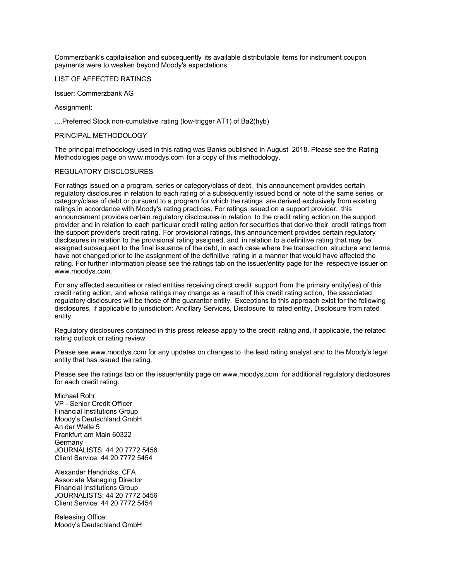Commerzbank's capitalisation and subsequently its available distributable items for instrument coupon payments were to weaken beyond Moody's expectations.

LIST OF AFFECTED RATINGS

Issuer: Commerzbank AG

Assignment:

....Preferred Stock non-cumulative rating (low-trigger AT1) of Ba2(hyb)

#### PRINCIPAL METHODOLOGY

The principal methodology used in this rating was Banks published in August 2018. Please see the Rating Methodologies page on www.moodys.com for a copy of this methodology.

#### REGULATORY DISCLOSURES

For ratings issued on a program, series or category/class of debt, this announcement provides certain regulatory disclosures in relation to each rating of a subsequently issued bond or note of the same series or category/class of debt or pursuant to a program for which the ratings are derived exclusively from existing ratings in accordance with Moody's rating practices. For ratings issued on a support provider, this announcement provides certain regulatory disclosures in relation to the credit rating action on the support provider and in relation to each particular credit rating action for securities that derive their credit ratings from the support provider's credit rating. For provisional ratings, this announcement provides certain regulatory disclosures in relation to the provisional rating assigned, and in relation to a definitive rating that may be assigned subsequent to the final issuance of the debt, in each case where the transaction structure and terms have not changed prior to the assignment of the definitive rating in a manner that would have affected the rating. For further information please see the ratings tab on the issuer/entity page for the respective issuer on www.moodys.com.

For any affected securities or rated entities receiving direct credit support from the primary entity(ies) of this credit rating action, and whose ratings may change as a result of this credit rating action, the associated regulatory disclosures will be those of the guarantor entity. Exceptions to this approach exist for the following disclosures, if applicable to jurisdiction: Ancillary Services, Disclosure to rated entity, Disclosure from rated entity.

Regulatory disclosures contained in this press release apply to the credit rating and, if applicable, the related rating outlook or rating review.

Please see www.moodys.com for any updates on changes to the lead rating analyst and to the Moody's legal entity that has issued the rating.

Please see the ratings tab on the issuer/entity page on www.moodys.com for additional regulatory disclosures for each credit rating.

Michael Rohr VP - Senior Credit Officer Financial Institutions Group Moody's Deutschland GmbH An der Welle 5 Frankfurt am Main 60322 Germany JOURNALISTS: 44 20 7772 5456 Client Service: 44 20 7772 5454

Alexander Hendricks, CFA Associate Managing Director Financial Institutions Group JOURNALISTS: 44 20 7772 5456 Client Service: 44 20 7772 5454

Releasing Office: Moody's Deutschland GmbH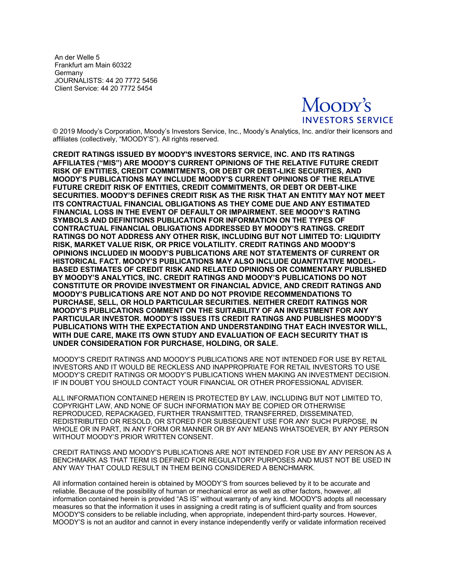An der Welle 5 Frankfurt am Main 60322 **Germany** JOURNALISTS: 44 20 7772 5456 Client Service: 44 20 7772 5454



© 2019 Moody's Corporation, Moody's Investors Service, Inc., Moody's Analytics, Inc. and/or their licensors and affiliates (collectively, "MOODY'S"). All rights reserved.

**CREDIT RATINGS ISSUED BY MOODY'S INVESTORS SERVICE, INC. AND ITS RATINGS AFFILIATES ("MIS") ARE MOODY'S CURRENT OPINIONS OF THE RELATIVE FUTURE CREDIT RISK OF ENTITIES, CREDIT COMMITMENTS, OR DEBT OR DEBT-LIKE SECURITIES, AND MOODY'S PUBLICATIONS MAY INCLUDE MOODY'S CURRENT OPINIONS OF THE RELATIVE FUTURE CREDIT RISK OF ENTITIES, CREDIT COMMITMENTS, OR DEBT OR DEBT-LIKE SECURITIES. MOODY'S DEFINES CREDIT RISK AS THE RISK THAT AN ENTITY MAY NOT MEET ITS CONTRACTUAL FINANCIAL OBLIGATIONS AS THEY COME DUE AND ANY ESTIMATED FINANCIAL LOSS IN THE EVENT OF DEFAULT OR IMPAIRMENT. SEE MOODY'S RATING SYMBOLS AND DEFINITIONS PUBLICATION FOR INFORMATION ON THE TYPES OF CONTRACTUAL FINANCIAL OBLIGATIONS ADDRESSED BY MOODY'S RATINGS. CREDIT RATINGS DO NOT ADDRESS ANY OTHER RISK, INCLUDING BUT NOT LIMITED TO: LIQUIDITY RISK, MARKET VALUE RISK, OR PRICE VOLATILITY. CREDIT RATINGS AND MOODY'S OPINIONS INCLUDED IN MOODY'S PUBLICATIONS ARE NOT STATEMENTS OF CURRENT OR HISTORICAL FACT. MOODY'S PUBLICATIONS MAY ALSO INCLUDE QUANTITATIVE MODEL-BASED ESTIMATES OF CREDIT RISK AND RELATED OPINIONS OR COMMENTARY PUBLISHED BY MOODY'S ANALYTICS, INC. CREDIT RATINGS AND MOODY'S PUBLICATIONS DO NOT CONSTITUTE OR PROVIDE INVESTMENT OR FINANCIAL ADVICE, AND CREDIT RATINGS AND MOODY'S PUBLICATIONS ARE NOT AND DO NOT PROVIDE RECOMMENDATIONS TO PURCHASE, SELL, OR HOLD PARTICULAR SECURITIES. NEITHER CREDIT RATINGS NOR MOODY'S PUBLICATIONS COMMENT ON THE SUITABILITY OF AN INVESTMENT FOR ANY PARTICULAR INVESTOR. MOODY'S ISSUES ITS CREDIT RATINGS AND PUBLISHES MOODY'S PUBLICATIONS WITH THE EXPECTATION AND UNDERSTANDING THAT EACH INVESTOR WILL, WITH DUE CARE, MAKE ITS OWN STUDY AND EVALUATION OF EACH SECURITY THAT IS UNDER CONSIDERATION FOR PURCHASE, HOLDING, OR SALE.** 

MOODY'S CREDIT RATINGS AND MOODY'S PUBLICATIONS ARE NOT INTENDED FOR USE BY RETAIL INVESTORS AND IT WOULD BE RECKLESS AND INAPPROPRIATE FOR RETAIL INVESTORS TO USE MOODY'S CREDIT RATINGS OR MOODY'S PUBLICATIONS WHEN MAKING AN INVESTMENT DECISION. IF IN DOUBT YOU SHOULD CONTACT YOUR FINANCIAL OR OTHER PROFESSIONAL ADVISER.

ALL INFORMATION CONTAINED HEREIN IS PROTECTED BY LAW, INCLUDING BUT NOT LIMITED TO, COPYRIGHT LAW, AND NONE OF SUCH INFORMATION MAY BE COPIED OR OTHERWISE REPRODUCED, REPACKAGED, FURTHER TRANSMITTED, TRANSFERRED, DISSEMINATED, REDISTRIBUTED OR RESOLD, OR STORED FOR SUBSEQUENT USE FOR ANY SUCH PURPOSE, IN WHOLE OR IN PART, IN ANY FORM OR MANNER OR BY ANY MEANS WHATSOEVER, BY ANY PERSON WITHOUT MOODY'S PRIOR WRITTEN CONSENT.

CREDIT RATINGS AND MOODY'S PUBLICATIONS ARE NOT INTENDED FOR USE BY ANY PERSON AS A BENCHMARK AS THAT TERM IS DEFINED FOR REGULATORY PURPOSES AND MUST NOT BE USED IN ANY WAY THAT COULD RESULT IN THEM BEING CONSIDERED A BENCHMARK.

All information contained herein is obtained by MOODY'S from sources believed by it to be accurate and reliable. Because of the possibility of human or mechanical error as well as other factors, however, all information contained herein is provided "AS IS" without warranty of any kind. MOODY'S adopts all necessary measures so that the information it uses in assigning a credit rating is of sufficient quality and from sources MOODY'S considers to be reliable including, when appropriate, independent third-party sources. However, MOODY'S is not an auditor and cannot in every instance independently verify or validate information received